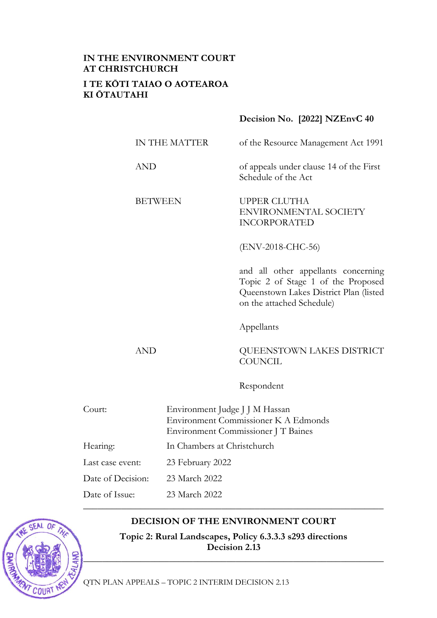## **IN THE ENVIRONMENT COURT AT CHRISTCHURCH I TE KŌTI TAIAO O AOTEAROA KI ŌTAUTAHI**

**Decision No. [2022] NZEnvC 40**

|          |                | IN THE MATTER                                                                                                 | of the Resource Management Act 1991                                                                                                              |  |
|----------|----------------|---------------------------------------------------------------------------------------------------------------|--------------------------------------------------------------------------------------------------------------------------------------------------|--|
|          | <b>AND</b>     |                                                                                                               | of appeals under clause 14 of the First<br>Schedule of the Act                                                                                   |  |
|          | <b>BETWEEN</b> |                                                                                                               | <b>UPPER CLUTHA</b><br><b>ENVIRONMENTAL SOCIETY</b><br><b>INCORPORATED</b>                                                                       |  |
|          |                |                                                                                                               | (ENV-2018-CHC-56)                                                                                                                                |  |
|          |                |                                                                                                               | and all other appellants concerning<br>Topic 2 of Stage 1 of the Proposed<br>Queenstown Lakes District Plan (listed<br>on the attached Schedule) |  |
|          |                |                                                                                                               | Appellants                                                                                                                                       |  |
|          | <b>AND</b>     |                                                                                                               | QUEENSTOWN LAKES DISTRICT<br><b>COUNCIL</b>                                                                                                      |  |
|          |                |                                                                                                               | Respondent                                                                                                                                       |  |
| Court:   |                | Environment Judge J J M Hassan<br>Environment Commissioner K A Edmonds<br>Environment Commissioner J T Baines |                                                                                                                                                  |  |
| Hearing: |                | In Chambers at Christchurch                                                                                   |                                                                                                                                                  |  |

Last case event: 23 February 2022 Date of Decision: 23 March 2022

Date of Issue: 23 March 2022

COUR

## **DECISION OF THE ENVIRONMENT COURT**

\_\_\_\_\_\_\_\_\_\_\_\_\_\_\_\_\_\_\_\_\_\_\_\_\_\_\_\_\_\_\_\_\_\_\_\_\_\_\_\_\_\_\_\_\_\_\_\_\_\_\_\_\_\_\_\_\_\_\_\_\_\_\_

**Topic 2: Rural Landscapes, Policy 6.3.3.3 s293 directions Decision 2.13**

**\_\_\_\_\_\_\_\_\_\_\_\_\_\_\_\_\_\_\_\_\_\_\_\_\_\_\_\_\_\_\_\_\_\_\_\_\_\_\_\_\_\_\_\_\_\_\_\_\_\_\_\_\_\_\_\_\_\_\_\_\_\_\_**

QTN PLAN APPEALS – TOPIC 2 INTERIM DECISION 2.13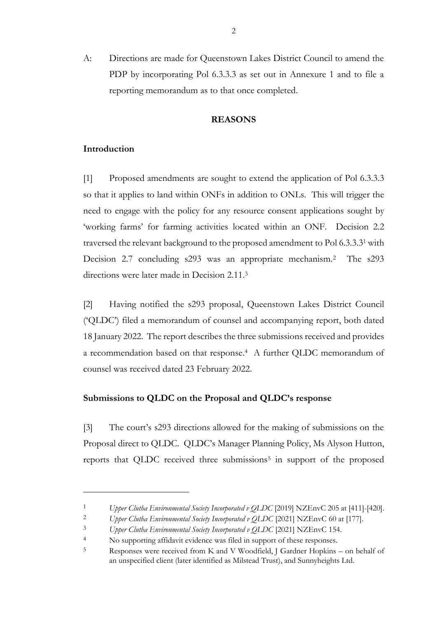A: Directions are made for Queenstown Lakes District Council to amend the PDP by incorporating Pol 6.3.3.3 as set out in Annexure 1 and to file a reporting memorandum as to that once completed.

#### **REASONS**

#### **Introduction**

[1] Proposed amendments are sought to extend the application of Pol 6.3.3.3 so that it applies to land within ONFs in addition to ONLs. This will trigger the need to engage with the policy for any resource consent applications sought by 'working farms' for farming activities located within an ONF. Decision 2.2 traversed the relevant background to the proposed amendment to Pol 6.3.3.3<sup>1</sup> with Decision 2.7 concluding s293 was an appropriate mechanism. 2 The s293 directions were later made in Decision 2.11. 3

[2] Having notified the s293 proposal, Queenstown Lakes District Council ('QLDC') filed a memorandum of counsel and accompanying report, both dated 18 January 2022. The report describes the three submissions received and provides a recommendation based on that response. <sup>4</sup> A further QLDC memorandum of counsel was received dated 23 February 2022.

#### **Submissions to QLDC on the Proposal and QLDC's response**

[3] The court's s293 directions allowed for the making of submissions on the Proposal direct to QLDC. QLDC's Manager Planning Policy, Ms Alyson Hutton, reports that QLDC received three submissions<sup>5</sup> in support of the proposed

<sup>1</sup> *Upper Clutha Environmental Society Incorporated v QLDC* [2019] NZEnvC 205 at [411]-[420].

<sup>2</sup> *Upper Clutha Environmental Society Incorporated v QLDC* [2021] NZEnvC 60 at [177].

<sup>3</sup> *Upper Clutha Environmental Society Incorporated v QLDC* [2021] NZEnvC 154.

<sup>&</sup>lt;sup>4</sup> No supporting affidavit evidence was filed in support of these responses.

<sup>5</sup> Responses were received from K and V Woodfield, J Gardner Hopkins – on behalf of an unspecified client (later identified as Milstead Trust), and Sunnyheights Ltd.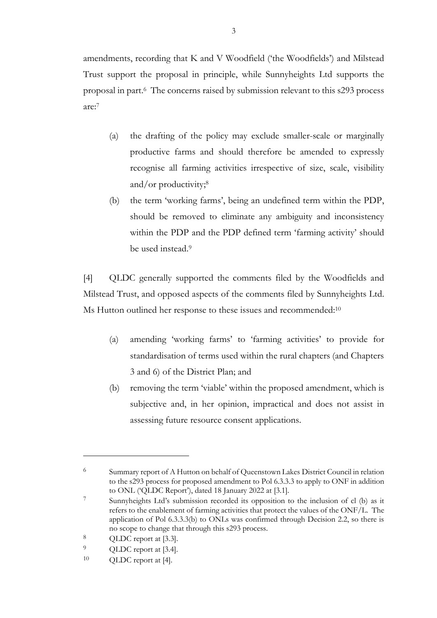amendments, recording that K and V Woodfield ('the Woodfields') and Milstead Trust support the proposal in principle, while Sunnyheights Ltd supports the proposal in part. 6 The concerns raised by submission relevant to this s293 process are: 7

- (a) the drafting of the policy may exclude smaller-scale or marginally productive farms and should therefore be amended to expressly recognise all farming activities irrespective of size, scale, visibility and/or productivity; 8
- (b) the term 'working farms', being an undefined term within the PDP, should be removed to eliminate any ambiguity and inconsistency within the PDP and the PDP defined term 'farming activity' should be used instead. 9

[4] QLDC generally supported the comments filed by the Woodfields and Milstead Trust, and opposed aspects of the comments filed by Sunnyheights Ltd. Ms Hutton outlined her response to these issues and recommended:<sup>10</sup>

- (a) amending 'working farms' to 'farming activities' to provide for standardisation of terms used within the rural chapters (and Chapters 3 and 6) of the District Plan; and
- (b) removing the term 'viable' within the proposed amendment, which is subjective and, in her opinion, impractical and does not assist in assessing future resource consent applications.

<sup>6</sup> Summary report of A Hutton on behalf of Queenstown Lakes District Council in relation to the s293 process for proposed amendment to Pol 6.3.3.3 to apply to ONF in addition to ONL ('QLDC Report'), dated 18 January 2022 at [3.1].

<sup>7</sup> Sunnyheights Ltd's submission recorded its opposition to the inclusion of cl (b) as it refers to the enablement of farming activities that protect the values of the ONF/L. The application of Pol 6.3.3.3(b) to ONLs was confirmed through Decision 2.2, so there is no scope to change that through this s293 process.

<sup>8</sup> QLDC report at [3.3].

<sup>9</sup> QLDC report at [3.4].

<sup>10</sup> QLDC report at [4].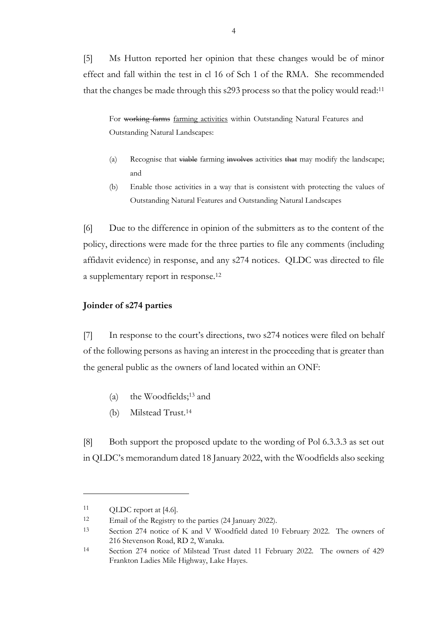[5] Ms Hutton reported her opinion that these changes would be of minor effect and fall within the test in cl 16 of Sch 1 of the RMA. She recommended that the changes be made through this s293 process so that the policy would read:<sup>11</sup>

For working farms farming activities within Outstanding Natural Features and Outstanding Natural Landscapes:

- (a) Recognise that viable farming involves activities that may modify the landscape; and
- (b) Enable those activities in a way that is consistent with protecting the values of Outstanding Natural Features and Outstanding Natural Landscapes

[6] Due to the difference in opinion of the submitters as to the content of the policy, directions were made for the three parties to file any comments (including affidavit evidence) in response, and any s274 notices. QLDC was directed to file a supplementary report in response.<sup>12</sup>

#### **Joinder of s274 parties**

[7] In response to the court's directions, two s274 notices were filed on behalf of the following persons as having an interest in the proceeding that is greater than the general public as the owners of land located within an ONF:

- (a) the Woodfields; <sup>13</sup> and
- (b) Milstead Trust. 14

[8] Both support the proposed update to the wording of Pol 6.3.3.3 as set out in QLDC's memorandum dated 18 January 2022, with the Woodfields also seeking

<sup>11</sup> QLDC report at [4.6].

<sup>12</sup> Email of the Registry to the parties (24 January 2022).

<sup>13</sup> Section 274 notice of K and V Woodfield dated 10 February 2022. The owners of 216 Stevenson Road, RD 2, Wanaka.

<sup>14</sup> Section 274 notice of Milstead Trust dated 11 February 2022. The owners of 429 Frankton Ladies Mile Highway, Lake Hayes.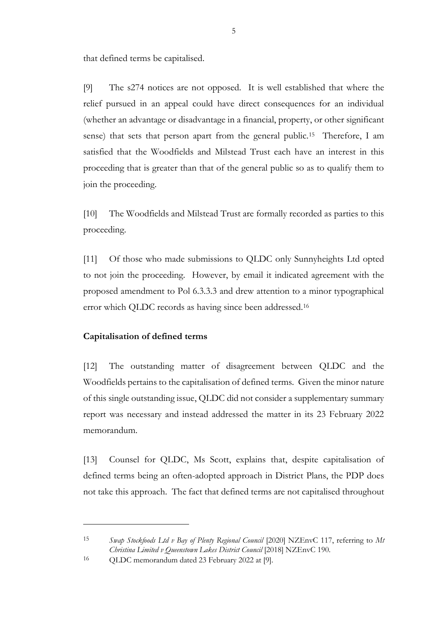that defined terms be capitalised.

[9] The s274 notices are not opposed. It is well established that where the relief pursued in an appeal could have direct consequences for an individual (whether an advantage or disadvantage in a financial, property, or other significant sense) that sets that person apart from the general public.<sup>15</sup> Therefore, I am satisfied that the Woodfields and Milstead Trust each have an interest in this proceeding that is greater than that of the general public so as to qualify them to join the proceeding.

[10] The Woodfields and Milstead Trust are formally recorded as parties to this proceeding.

[11] Of those who made submissions to QLDC only Sunnyheights Ltd opted to not join the proceeding. However, by email it indicated agreement with the proposed amendment to Pol 6.3.3.3 and drew attention to a minor typographical error which QLDC records as having since been addressed.<sup>16</sup>

#### **Capitalisation of defined terms**

[12] The outstanding matter of disagreement between QLDC and the Woodfields pertains to the capitalisation of defined terms. Given the minor nature of this single outstanding issue, QLDC did not consider a supplementary summary report was necessary and instead addressed the matter in its 23 February 2022 memorandum.

[13] Counsel for QLDC, Ms Scott, explains that, despite capitalisation of defined terms being an often-adopted approach in District Plans, the PDP does not take this approach. The fact that defined terms are not capitalised throughout

<sup>15</sup> *Swap Stockfoods Ltd v Bay of Plenty Regional Council* [2020] NZEnvC 117, referring to *Mt Christina Limited v Queenstown Lakes District Council* [2018] NZEnvC 190.

<sup>16</sup> QLDC memorandum dated 23 February 2022 at [9].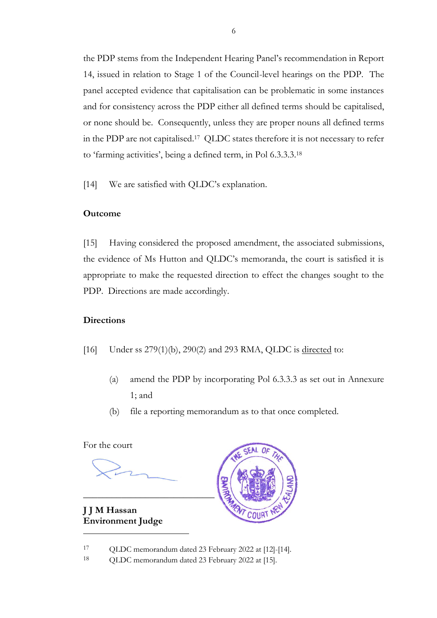the PDP stems from the Independent Hearing Panel's recommendation in Report 14, issued in relation to Stage 1 of the Council-level hearings on the PDP. The panel accepted evidence that capitalisation can be problematic in some instances and for consistency across the PDP either all defined terms should be capitalised, or none should be. Consequently, unless they are proper nouns all defined terms in the PDP are not capitalised. 17 QLDC states therefore it is not necessary to refer to 'farming activities', being a defined term, in Pol 6.3.3.3.<sup>18</sup>

[14] We are satisfied with QLDC's explanation.

#### **Outcome**

[15] Having considered the proposed amendment, the associated submissions, the evidence of Ms Hutton and QLDC's memoranda, the court is satisfied it is appropriate to make the requested direction to effect the changes sought to the PDP. Directions are made accordingly.

#### **Directions**

[16] Under ss 279(1)(b), 290(2) and 293 RMA, QLDC is directed to:

- (a) amend the PDP by incorporating Pol 6.3.3.3 as set out in Annexure 1; and
- (b) file a reporting memorandum as to that once completed.

For the court

**J J M Hassan Environment Judge**



<sup>17</sup> QLDC memorandum dated 23 February 2022 at [12]-[14].

<sup>18</sup> QLDC memorandum dated 23 February 2022 at [15].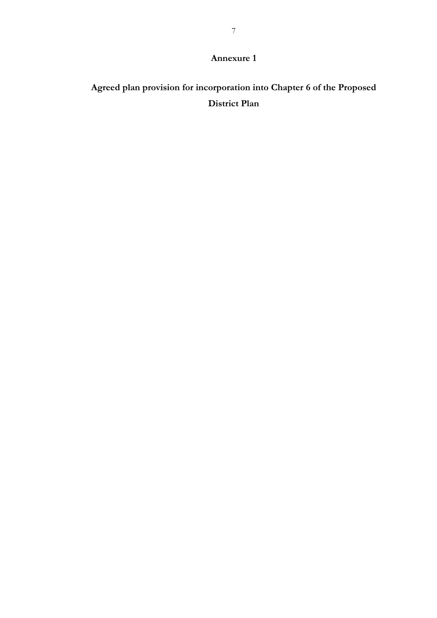### **Annexure 1**

# **Agreed plan provision for incorporation into Chapter 6 of the Proposed District Plan**